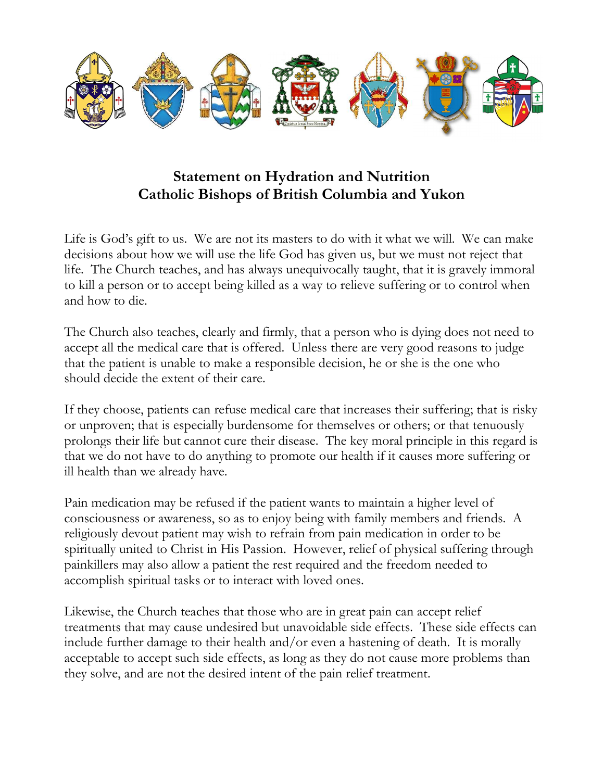

## Statement on Hydration and Nutrition Catholic Bishops of British Columbia and Yukon

Life is God's gift to us. We are not its masters to do with it what we will. We can make decisions about how we will use the life God has given us, but we must not reject that life. The Church teaches, and has always unequivocally taught, that it is gravely immoral to kill a person or to accept being killed as a way to relieve suffering or to control when and how to die.

The Church also teaches, clearly and firmly, that a person who is dying does not need to accept all the medical care that is offered. Unless there are very good reasons to judge that the patient is unable to make a responsible decision, he or she is the one who should decide the extent of their care.

If they choose, patients can refuse medical care that increases their suffering; that is risky or unproven; that is especially burdensome for themselves or others; or that tenuously prolongs their life but cannot cure their disease. The key moral principle in this regard is that we do not have to do anything to promote our health if it causes more suffering or ill health than we already have.

Pain medication may be refused if the patient wants to maintain a higher level of consciousness or awareness, so as to enjoy being with family members and friends. A religiously devout patient may wish to refrain from pain medication in order to be spiritually united to Christ in His Passion. However, relief of physical suffering through painkillers may also allow a patient the rest required and the freedom needed to accomplish spiritual tasks or to interact with loved ones.

Likewise, the Church teaches that those who are in great pain can accept relief treatments that may cause undesired but unavoidable side effects. These side effects can include further damage to their health and/or even a hastening of death. It is morally acceptable to accept such side effects, as long as they do not cause more problems than they solve, and are not the desired intent of the pain relief treatment.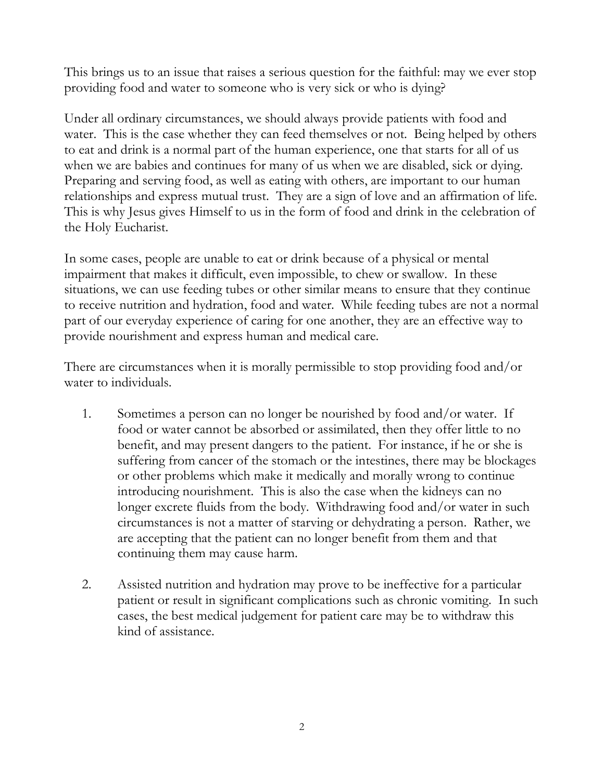This brings us to an issue that raises a serious question for the faithful: may we ever stop providing food and water to someone who is very sick or who is dying?

Under all ordinary circumstances, we should always provide patients with food and water. This is the case whether they can feed themselves or not. Being helped by others to eat and drink is a normal part of the human experience, one that starts for all of us when we are babies and continues for many of us when we are disabled, sick or dying. Preparing and serving food, as well as eating with others, are important to our human relationships and express mutual trust. They are a sign of love and an affirmation of life. This is why Jesus gives Himself to us in the form of food and drink in the celebration of the Holy Eucharist.

In some cases, people are unable to eat or drink because of a physical or mental impairment that makes it difficult, even impossible, to chew or swallow. In these situations, we can use feeding tubes or other similar means to ensure that they continue to receive nutrition and hydration, food and water. While feeding tubes are not a normal part of our everyday experience of caring for one another, they are an effective way to provide nourishment and express human and medical care.

There are circumstances when it is morally permissible to stop providing food and/or water to individuals.

- 1. Sometimes a person can no longer be nourished by food and/or water. If food or water cannot be absorbed or assimilated, then they offer little to no benefit, and may present dangers to the patient. For instance, if he or she is suffering from cancer of the stomach or the intestines, there may be blockages or other problems which make it medically and morally wrong to continue introducing nourishment. This is also the case when the kidneys can no longer excrete fluids from the body. Withdrawing food and/or water in such circumstances is not a matter of starving or dehydrating a person. Rather, we are accepting that the patient can no longer benefit from them and that continuing them may cause harm.
- 2. Assisted nutrition and hydration may prove to be ineffective for a particular patient or result in significant complications such as chronic vomiting. In such cases, the best medical judgement for patient care may be to withdraw this kind of assistance.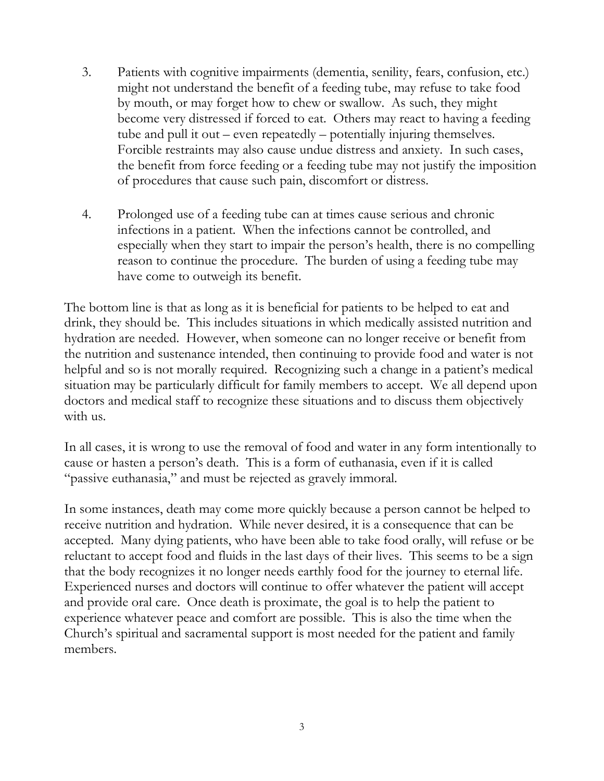- 3. Patients with cognitive impairments (dementia, senility, fears, confusion, etc.) might not understand the benefit of a feeding tube, may refuse to take food by mouth, or may forget how to chew or swallow. As such, they might become very distressed if forced to eat. Others may react to having a feeding tube and pull it out – even repeatedly – potentially injuring themselves. Forcible restraints may also cause undue distress and anxiety. In such cases, the benefit from force feeding or a feeding tube may not justify the imposition of procedures that cause such pain, discomfort or distress.
- 4. Prolonged use of a feeding tube can at times cause serious and chronic infections in a patient. When the infections cannot be controlled, and especially when they start to impair the person's health, there is no compelling reason to continue the procedure. The burden of using a feeding tube may have come to outweigh its benefit.

The bottom line is that as long as it is beneficial for patients to be helped to eat and drink, they should be. This includes situations in which medically assisted nutrition and hydration are needed. However, when someone can no longer receive or benefit from the nutrition and sustenance intended, then continuing to provide food and water is not helpful and so is not morally required. Recognizing such a change in a patient's medical situation may be particularly difficult for family members to accept. We all depend upon doctors and medical staff to recognize these situations and to discuss them objectively with us.

In all cases, it is wrong to use the removal of food and water in any form intentionally to cause or hasten a person's death. This is a form of euthanasia, even if it is called "passive euthanasia," and must be rejected as gravely immoral.

In some instances, death may come more quickly because a person cannot be helped to receive nutrition and hydration. While never desired, it is a consequence that can be accepted. Many dying patients, who have been able to take food orally, will refuse or be reluctant to accept food and fluids in the last days of their lives. This seems to be a sign that the body recognizes it no longer needs earthly food for the journey to eternal life. Experienced nurses and doctors will continue to offer whatever the patient will accept and provide oral care. Once death is proximate, the goal is to help the patient to experience whatever peace and comfort are possible. This is also the time when the Church's spiritual and sacramental support is most needed for the patient and family members.